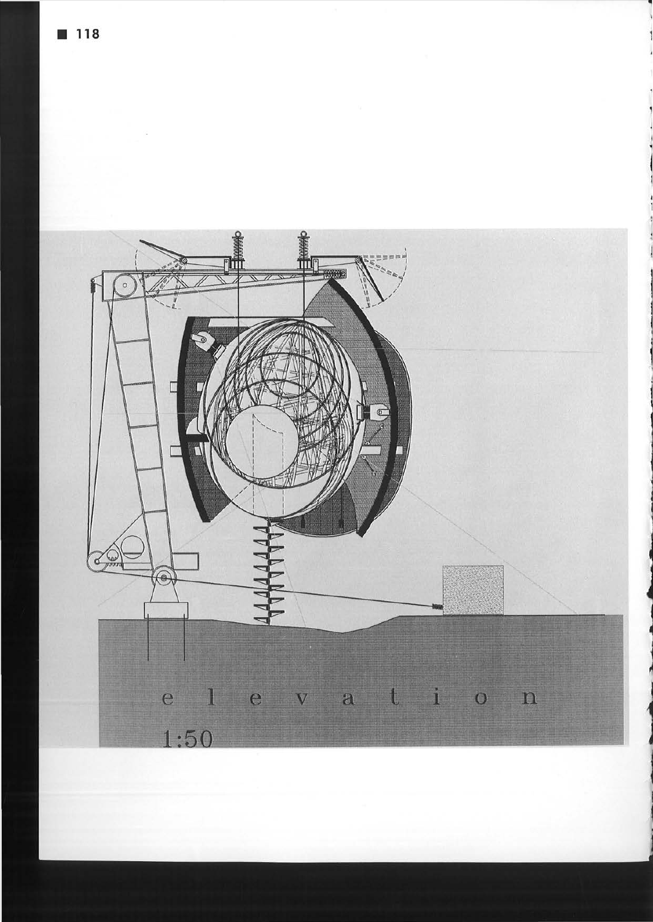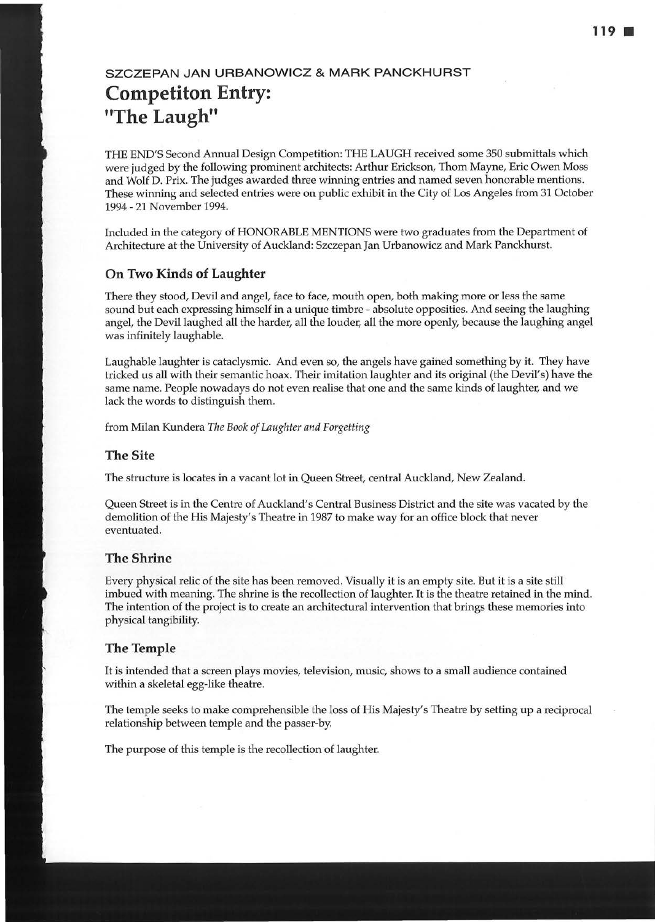# **SZCZEPAN JAN URBANOWICZ & MARK PANCKHURST Competiton Entry: "The Laugh"**

THE END'S Second Annual Design Competition: THE LAUGH received some 350 submittals which were judged by the following prominent architects: Arthur Erickson, Thom Mayne, Eric Owen Moss and Wolf D. Prix. The judges awarded three winning entries and named seven honorable mentions. These winning and selected entries were on public exhibit in the City of Los Angeles from 31 October 1994 - 21 November 1994.

Included in the category of HONORABLE MENTIONS were two graduates from the Department of Architecture at the University of Auckland: Szczepan Jan Urbanowicz and Mark Panckhurst.

# **On Two Kinds of Laughter**

There they stood, Devil and angel, face to face, mouth open, both making more or less the same sound but each expressing himself in a unique timbre - absolute opposities. And seeing the laughing angel, the Devil laughed all the harder, all the louder, all the more openly, because the laughing angel was infinitely laughable.

Laughable laughter is cataclysmic. And even so, the angels have gained something by it. They have tricked us all with their semantic hoax. Their imitation laughter and its original (the Devil's) have the same name. People nowadays do not even realise that one and the same kinds of laughter, and we lack the words to distinguish them.

from Milan Kundera *The Book of Laughter and Forgetting* 

### **The Site**

The structure is locates in a vacant lot in Queen Street, central Auckland, New Zealand.

Queen Street is in the Centre of Auckland's Central Business District and the site was vacated by the demolition of the His Majesty's Theatre in 1987 to make way for an office block that never eventuated.

### **The Shrine**

Every physical relic of the site has been removed. Visually it is an empty site. But it is a site still imbued with meaning. The shrine is the recollection of laughter. It is the theatre retained in the mind. The intention of the project is to create an architectural intervention that brings these memories into physical tangibility.

# **The Temple**

It is intended that a screen plays movies, television, music, shows to a small audience contained within a skeletal egg-like theatre.

The temple seeks to make comprehensible the loss of His Majesty's Theatre by setting up a reciprocal relationship between temple and the passer-by.

The purpose of this temple is the recollection of laughter.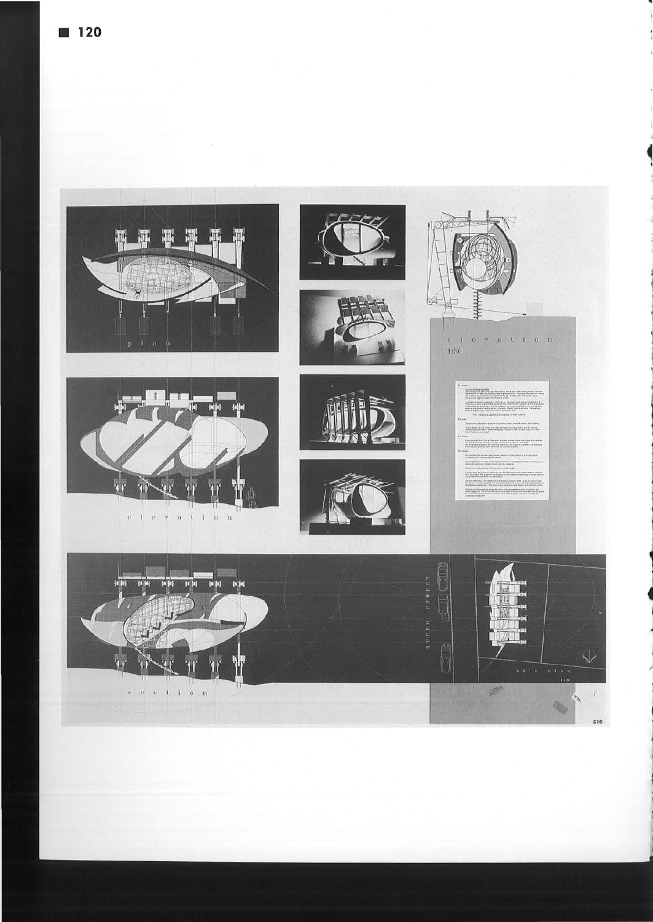